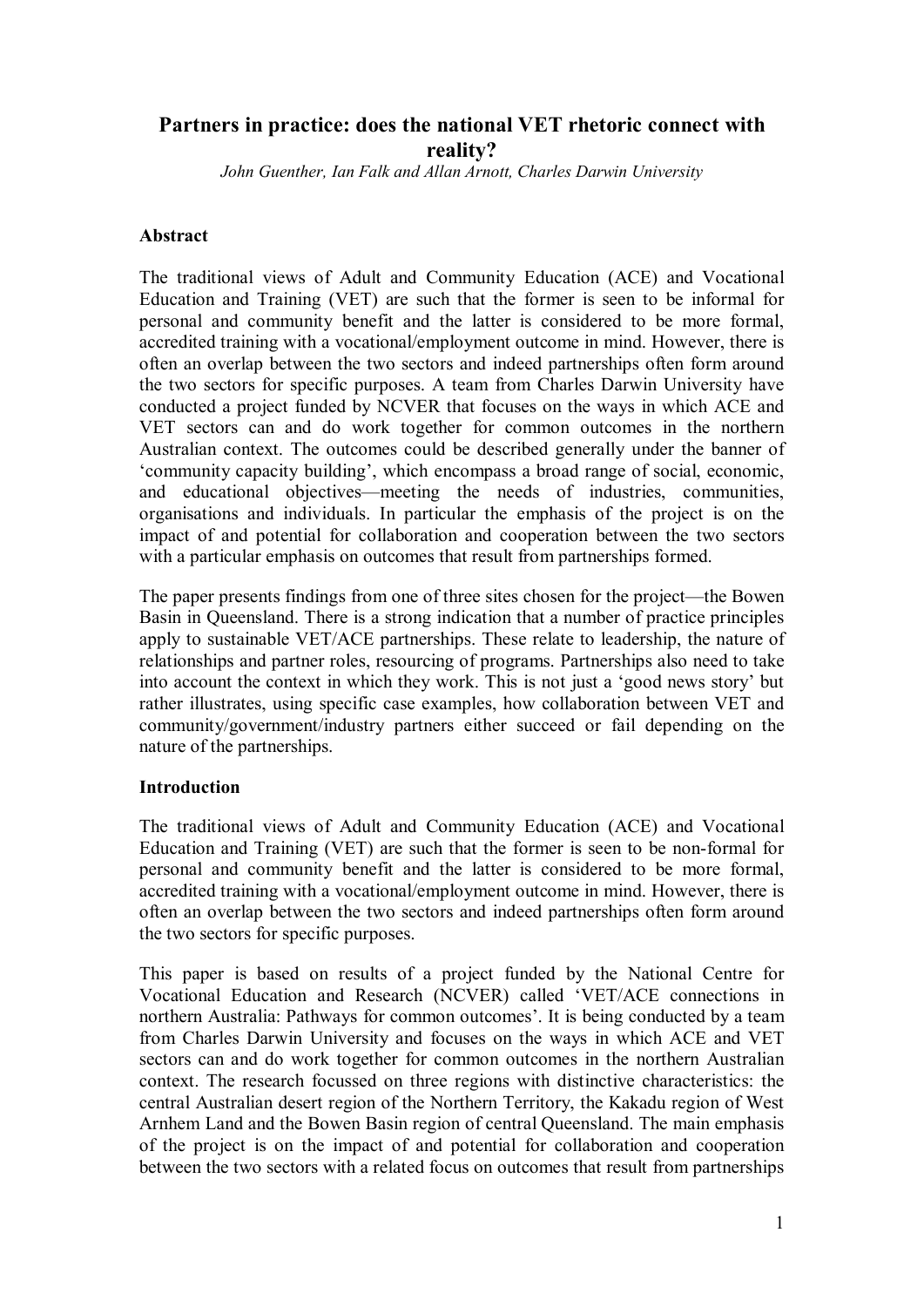# **Partners in practice: does the national VET rhetoric connect with reality?**

*John Guenther, Ian Falk and Allan Arnott, Charles Darwin University*

### **Abstract**

The traditional views of Adult and Community Education (ACE) and Vocational Education and Training (VET) are such that the former is seen to be informal for personal and community benefit and the latter is considered to be more formal, accredited training with a vocational/employment outcome in mind. However, there is often an overlap between the two sectors and indeed partnerships often form around the two sectors for specific purposes. A team from Charles Darwin University have conducted a project funded by NCVER that focuses on the ways in which ACE and VET sectors can and do work together for common outcomes in the northern Australian context. The outcomes could be described generally under the banner of 'community capacity building', which encompass a broad range of social, economic, and educational objectives—meeting the needs of industries, communities, organisations and individuals. In particular the emphasis of the project is on the impact of and potential for collaboration and cooperation between the two sectors with a particular emphasis on outcomes that result from partnerships formed.

The paper presents findings from one of three sites chosen for the project—the Bowen Basin in Queensland. There is a strong indication that a number of practice principles apply to sustainable VET/ACE partnerships. These relate to leadership, the nature of relationships and partner roles, resourcing of programs. Partnerships also need to take into account the context in which they work. This is not just a 'good news story' but rather illustrates, using specific case examples, how collaboration between VET and community/government/industry partners either succeed or fail depending on the nature of the partnerships.

## **Introduction**

The traditional views of Adult and Community Education (ACE) and Vocational Education and Training (VET) are such that the former is seen to be non-formal for personal and community benefit and the latter is considered to be more formal, accredited training with a vocational/employment outcome in mind. However, there is often an overlap between the two sectors and indeed partnerships often form around the two sectors for specific purposes.

This paper is based on results of a project funded by the National Centre for Vocational Education and Research (NCVER) called 'VET/ACE connections in northern [Australia: Pathways](http://www.ncver.edu.au/workinprogress/projects/10350.html) for common outcomes'. It is being conducted by a team from Charles Darwin University and focuses on the ways in which ACE and VET sectors can and do work together for common outcomes in the northern Australian context. The research focussed on three regions with distinctive characteristics: the central Australian desert region of the Northern Territory, the Kakadu region of West Arnhem Land and the Bowen Basin region of central Queensland. The main emphasis of the project is on the impact of and potential for collaboration and cooperation between the two sectors with a related focus on outcomes that result from partnerships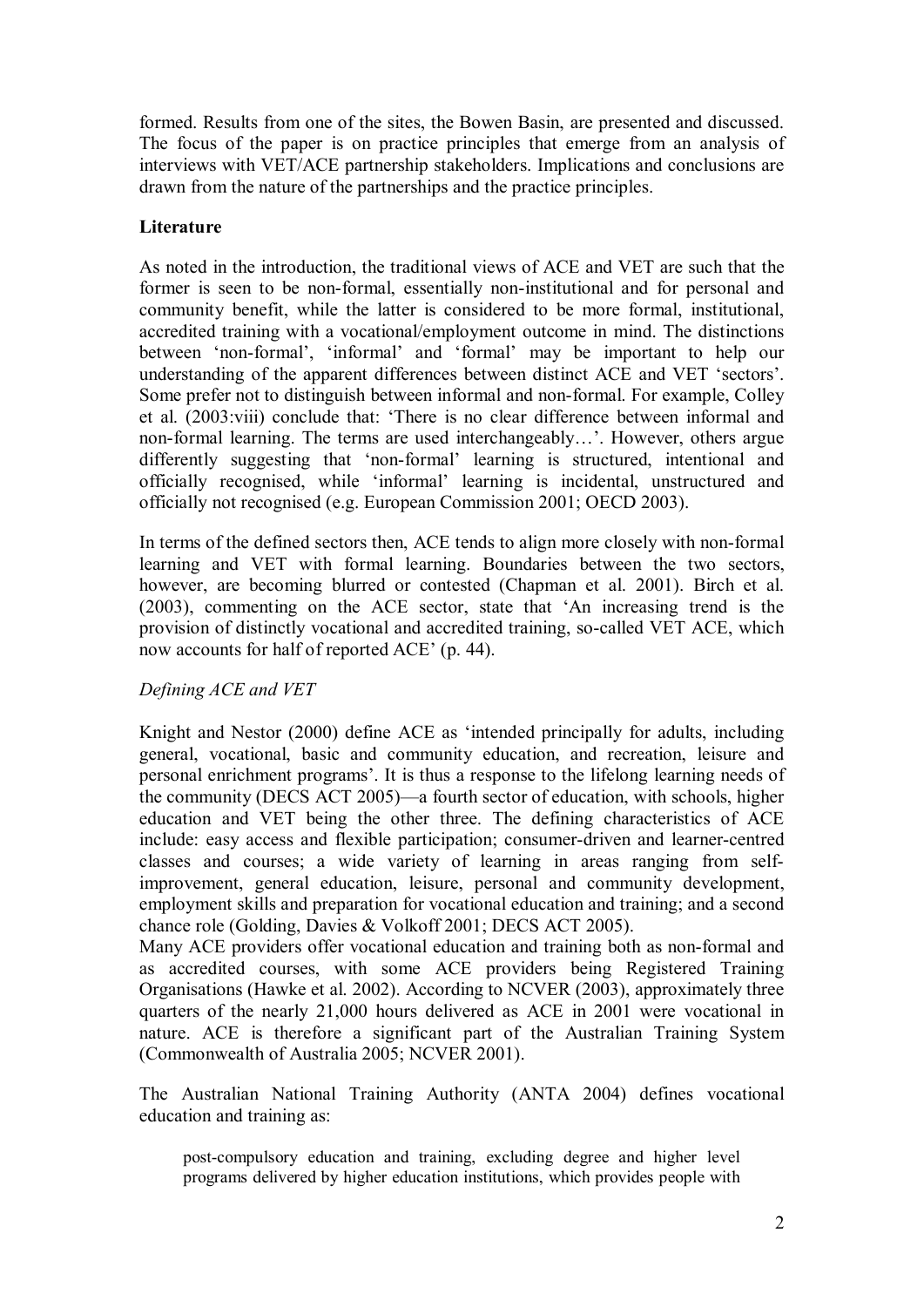formed. Results from one of the sites, the Bowen Basin, are presented and discussed. The focus of the paper is on practice principles that emerge from an analysis of interviews with VET/ACE partnership stakeholders. Implications and conclusions are drawn from the nature of the partnerships and the practice principles.

## **Literature**

As noted in the introduction, the traditional views of ACE and VET are such that the former is seen to be non-formal, essentially non-institutional and for personal and community benefit, while the latter is considered to be more formal, institutional, accredited training with a vocational/employment outcome in mind. The distinctions between 'non-formal', 'informal' and 'formal' may be important to help our understanding of the apparent differences between distinct ACE and VET 'sectors'. Some prefer not to distinguish between informal and non-formal. For example, Colley et al. (2003:viii) conclude that: 'There is no clear difference between informal and non-formal learning. The terms are used interchangeably…'. However, others argue differently suggesting that 'non-formal' learning is structured, intentional and officially recognised, while 'informal' learning is incidental, unstructured and officially not recognised (e.g. European Commission 2001; OECD 2003).

In terms of the defined sectors then, ACE tends to align more closely with non-formal learning and VET with formal learning. Boundaries between the two sectors, however, are becoming blurred or contested (Chapman et al. 2001). Birch et al. (2003), commenting on the ACE sector, state that 'An increasing trend is the provision of distinctly vocational and accredited training, so-called VET ACE, which now accounts for half of reported ACE' (p. 44).

## *Defining ACE and VET*

Knight and Nestor (2000) define ACE as 'intended principally for adults, including general, vocational, basic and community education, and recreation, leisure and personal enrichment programs'. It is thus a response to the lifelong learning needs of the community (DECS ACT 2005)—a fourth sector of education, with schools, higher education and VET being the other three. The defining characteristics of ACE include: easy access and flexible participation; consumer-driven and learner-centred classes and courses; a wide variety of learning in areas ranging from selfimprovement, general education, leisure, personal and community development, employment skills and preparation for vocational education and training; and a second chance role (Golding, Davies & Volkoff 2001; DECS ACT 2005).

Many ACE providers offer vocational education and training both as non-formal and as accredited courses, with some ACE providers being Registered Training Organisations (Hawke et al. 2002). According to NCVER (2003), approximately three quarters of the nearly 21,000 hours delivered as ACE in 2001 were vocational in nature. ACE is therefore a significant part of the Australian Training System (Commonwealth of Australia 2005; NCVER 2001).

The Australian National Training Authority (ANTA 2004) defines vocational education and training as:

post-compulsory education and training, excluding degree and higher level programs delivered by higher education institutions, which provides people with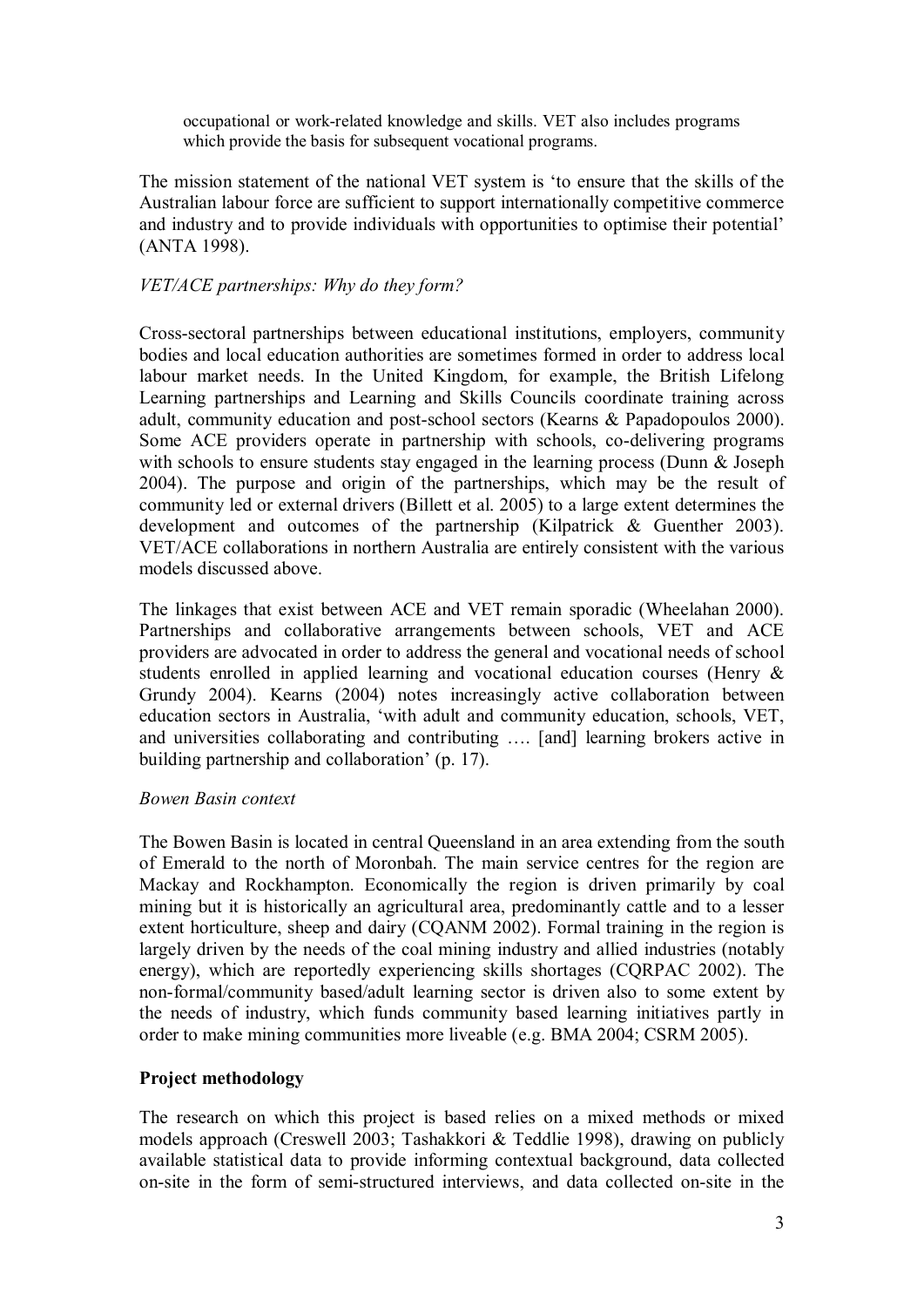occupational or workrelated knowledge and skills. VET also includes programs which provide the basis for subsequent vocational programs.

The mission statement of the national VET system is 'to ensure that the skills of the Australian labour force are sufficient to support internationally competitive commerce and industry and to provide individuals with opportunities to optimise their potential' (ANTA 1998).

### *VET/ACE partnerships: Why do they form?*

Crosssectoral partnerships between educational institutions, employers, community bodies and local education authorities are sometimes formed in order to address local labour market needs. In the United Kingdom, for example, the British Lifelong Learning partnerships and Learning and Skills Councils coordinate training across adult, community education and post-school sectors (Kearns & Papadopoulos 2000). Some ACE providers operate in partnership with schools, co-delivering programs with schools to ensure students stay engaged in the learning process (Dunn & Joseph 2004). The purpose and origin of the partnerships, which may be the result of community led or external drivers (Billett et al. 2005) to a large extent determines the development and outcomes of the partnership (Kilpatrick & Guenther 2003). VET/ACE collaborations in northern Australia are entirely consistent with the various models discussed above.

The linkages that exist between ACE and VET remain sporadic (Wheelahan 2000). Partnerships and collaborative arrangements between schools, VET and ACE providers are advocated in order to address the general and vocational needs of school students enrolled in applied learning and vocational education courses (Henry  $\&$ Grundy 2004). Kearns (2004) notes increasingly active collaboration between education sectors in Australia, 'with adult and community education, schools, VET, and universities collaborating and contributing …. [and] learning brokers active in building partnership and collaboration' (p. 17).

#### *Bowen Basin context*

The Bowen Basin is located in central Queensland in an area extending from the south of Emerald to the north of Moronbah. The main service centres for the region are Mackay and Rockhampton. Economically the region is driven primarily by coal mining but it is historically an agricultural area, predominantly cattle and to a lesser extent horticulture, sheep and dairy (CQANM 2002). Formal training in the region is largely driven by the needs of the coal mining industry and allied industries (notably energy), which are reportedly experiencing skills shortages (CQRPAC 2002). The non-formal/community based/adult learning sector is driven also to some extent by the needs of industry, which funds community based learning initiatives partly in order to make mining communities more liveable (e.g. BMA 2004; CSRM 2005).

#### **Project methodology**

The research on which this project is based relies on a mixed methods or mixed models approach (Creswell 2003; Tashakkori & Teddlie 1998), drawing on publicly available statistical data to provide informing contextual background, data collected on-site in the form of semi-structured interviews, and data collected on-site in the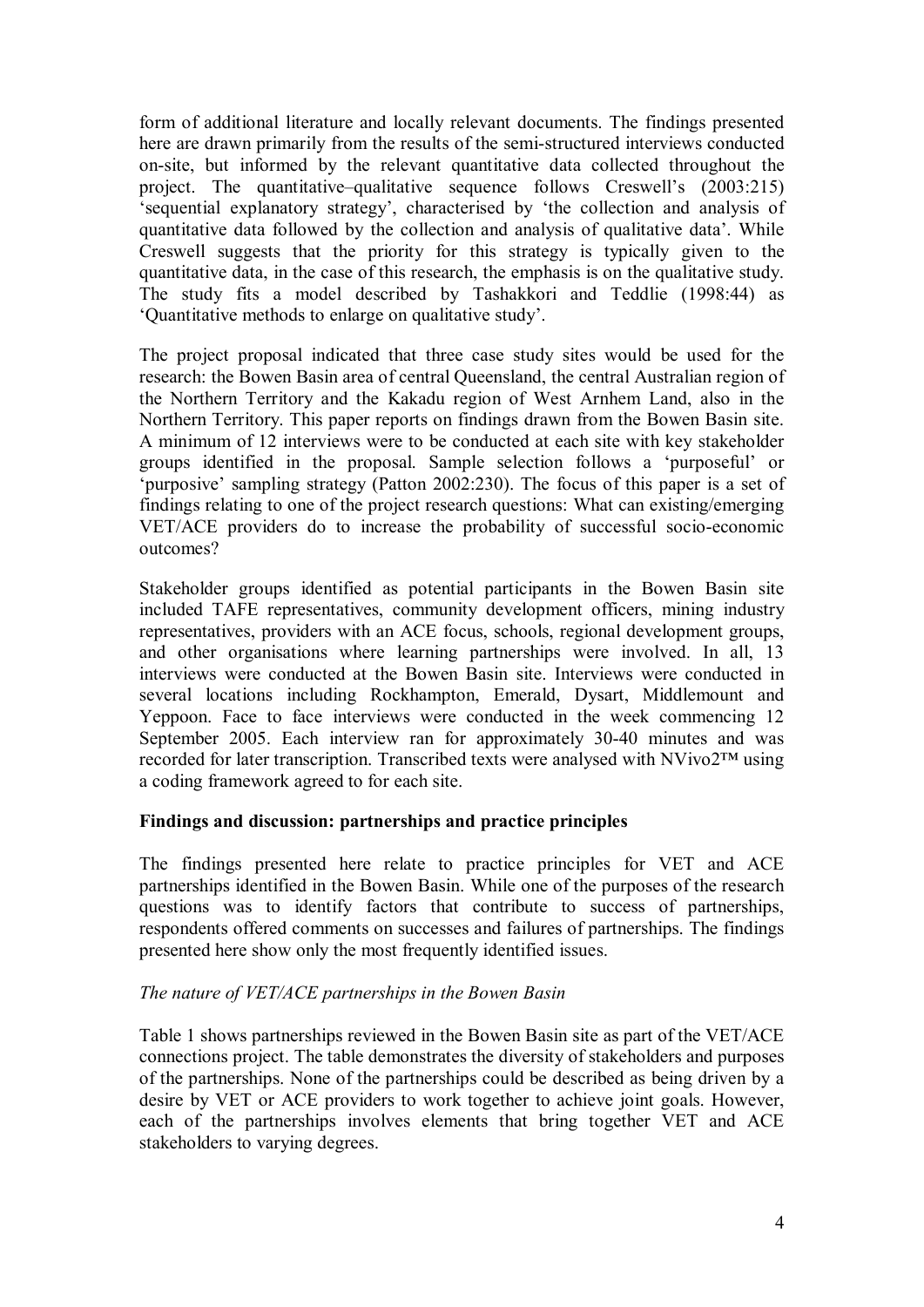form of additional literature and locally relevant documents. The findings presented here are drawn primarily from the results of the semi-structured interviews conducted on-site, but informed by the relevant quantitative data collected throughout the project. The quantitative–qualitative sequence follows Creswell's (2003:215) 'sequential explanatory strategy', characterised by 'the collection and analysis of quantitative data followed by the collection and analysis of qualitative data'. While Creswell suggests that the priority for this strategy is typically given to the quantitative data, in the case of this research, the emphasis is on the qualitative study. The study fits a model described by Tashakkori and Teddlie (1998:44) as 'Quantitative methods to enlarge on qualitative study'.

The project proposal indicated that three case study sites would be used for the research: the Bowen Basin area of central Queensland, the central Australian region of the Northern Territory and the Kakadu region of West Arnhem Land, also in the Northern Territory. This paper reports on findings drawn from the Bowen Basin site. A minimum of 12 interviews were to be conducted at each site with key stakeholder groups identified in the proposal. Sample selection follows a 'purposeful' or 'purposive' sampling strategy (Patton 2002:230). The focus of this paper is a set of findings relating to one of the project research questions: What can existing/emerging VET/ACE providers do to increase the probability of successful socio-economic outcomes?

Stakeholder groups identified as potential participants in the Bowen Basin site included TAFE representatives, community development officers, mining industry representatives, providers with an ACE focus, schools, regional development groups, and other organisations where learning partnerships were involved. In all, 13 interviews were conducted at the Bowen Basin site. Interviews were conducted in several locations including Rockhampton, Emerald, Dysart, Middlemount and Yeppoon. Face to face interviews were conducted in the week commencing 12 September 2005. Each interview ran for approximately 30-40 minutes and was recorded for later transcription. Transcribed texts were analysed with NVivo2™ using a coding framework agreed to for each site.

## **Findings and discussion: partnerships and practice principles**

The findings presented here relate to practice principles for VET and ACE partnerships identified in the Bowen Basin. While one of the purposes of the research questions was to identify factors that contribute to success of partnerships, respondents offered comments on successes and failures of partnerships. The findings presented here show only the most frequently identified issues.

## *The nature of VET/ACE partnerships in the Bowen Basin*

Table 1 shows partnerships reviewed in the Bowen Basin site as part of the VET/ACE connections project. The table demonstrates the diversity of stakeholders and purposes of the partnerships. None of the partnerships could be described as being driven by a desire by VET or ACE providers to work together to achieve joint goals. However, each of the partnerships involves elements that bring together VET and ACE stakeholders to varying degrees.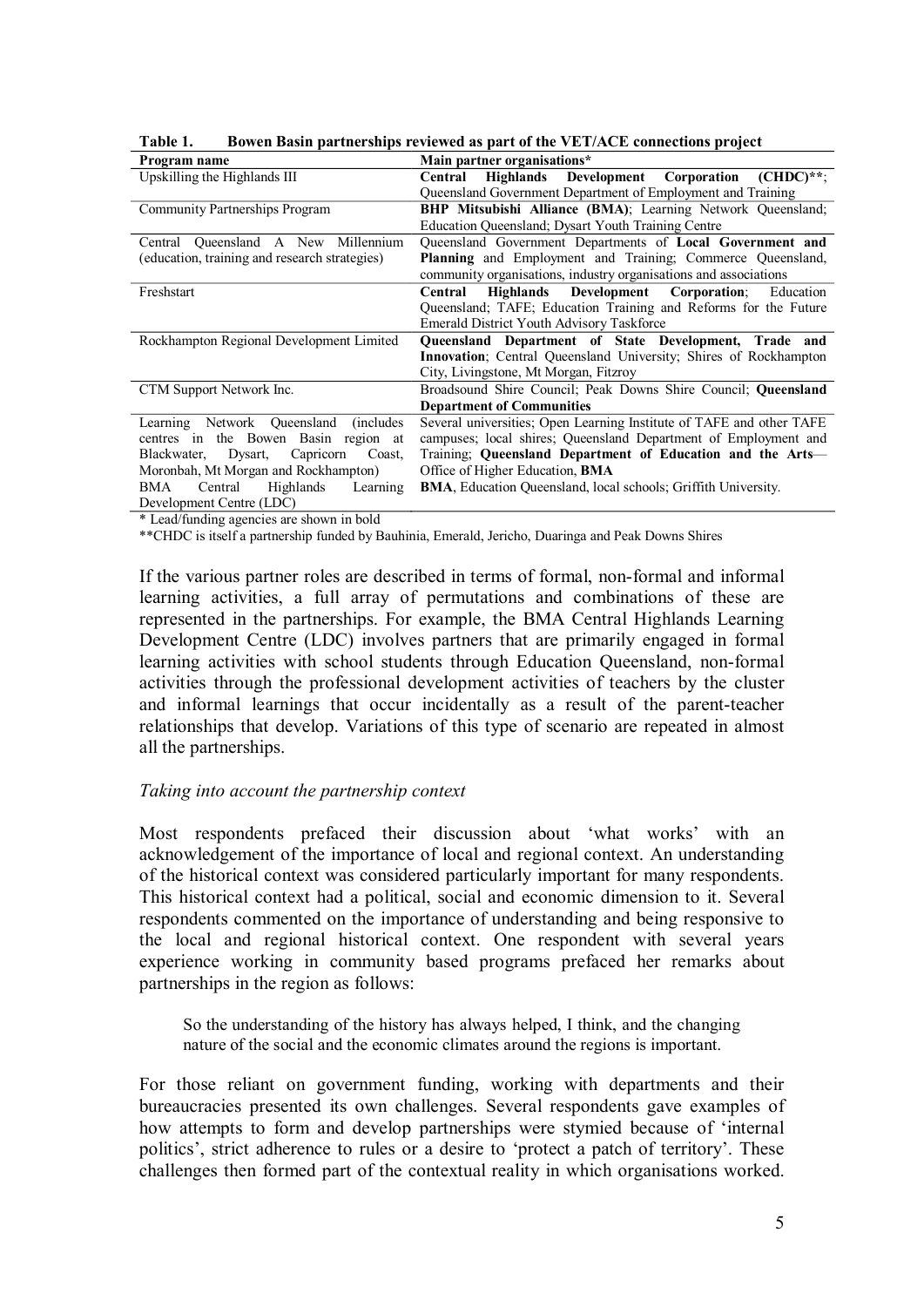| Main partner organisations*                                           |
|-----------------------------------------------------------------------|
| Highlands Development Corporation (CHDC)**:<br>Central                |
| Queensland Government Department of Employment and Training           |
| <b>BHP Mitsubishi Alliance (BMA)</b> ; Learning Network Queensland;   |
| Education Queensland; Dysart Youth Training Centre                    |
| Queensland Government Departments of Local Government and             |
| Planning and Employment and Training; Commerce Queensland,            |
| community organisations, industry organisations and associations      |
| Highlands Development Corporation:<br>Central<br>Education            |
| Queensland; TAFE; Education Training and Reforms for the Future       |
| <b>Emerald District Youth Advisory Taskforce</b>                      |
| Queensland Department of State Development, Trade and                 |
| Innovation; Central Queensland University; Shires of Rockhampton      |
| City, Livingstone, Mt Morgan, Fitzroy                                 |
| Broadsound Shire Council: Peak Downs Shire Council: <b>Queensland</b> |
| <b>Department of Communities</b>                                      |
| Several universities; Open Learning Institute of TAFE and other TAFE  |
| campuses; local shires; Queensland Department of Employment and       |
| Training: Queensland Department of Education and the Arts—            |
| Office of Higher Education, <b>BMA</b>                                |
| BMA, Education Queensland, local schools; Griffith University.        |
|                                                                       |
|                                                                       |

**Table 1. Bowen Basin partnerships reviewed as part of the VET/ACE connections project** 

\* Lead/funding agencies are shown in bold

\*\*CHDC is itself a partnership funded by Bauhinia, Emerald, Jericho, Duaringa and Peak Downs Shires

If the various partner roles are described in terms of formal, non-formal and informal learning activities, a full array of permutations and combinations of these are represented in the partnerships. For example, the BMA Central Highlands Learning Development Centre (LDC) involves partners that are primarily engaged in formal learning activities with school students through Education Queensland, non-formal activities through the professional development activities of teachers by the cluster and informal learnings that occur incidentally as a result of the parent-teacher relationships that develop. Variations of this type of scenario are repeated in almost all the partnerships.

#### *Taking into account the partnership context*

Most respondents prefaced their discussion about 'what works' with an acknowledgement of the importance of local and regional context. An understanding of the historical context was considered particularly important for many respondents. This historical context had a political, social and economic dimension to it. Several respondents commented on the importance of understanding and being responsive to the local and regional historical context. One respondent with several years experience working in community based programs prefaced her remarks about partnerships in the region as follows:

So the understanding of the history has always helped, I think, and the changing nature of the social and the economic climates around the regions is important.

For those reliant on government funding, working with departments and their bureaucracies presented its own challenges. Several respondents gave examples of how attempts to form and develop partnerships were stymied because of 'internal politics', strict adherence to rules or a desire to 'protect a patch of territory'. These challenges then formed part of the contextual reality in which organisations worked.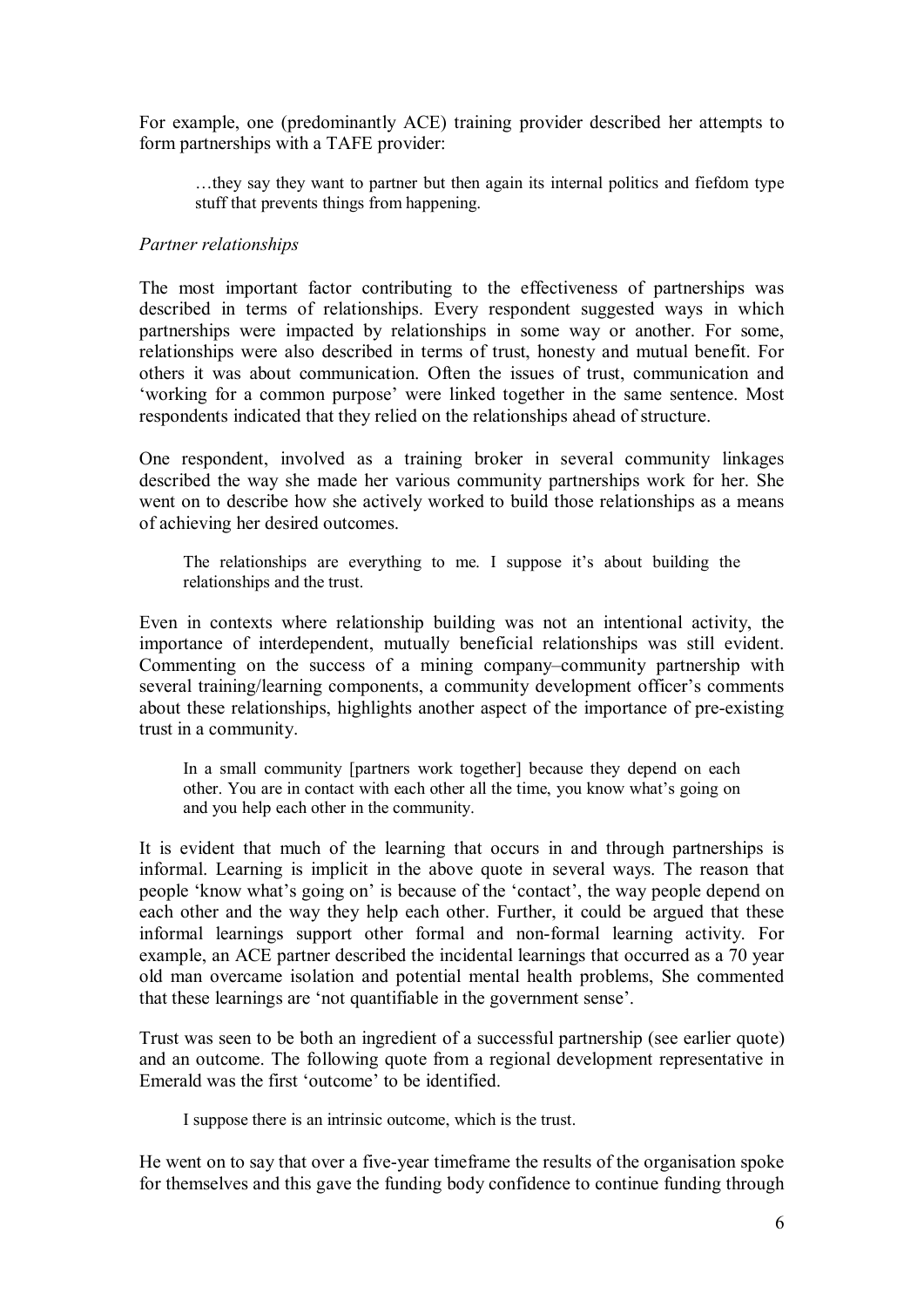For example, one (predominantly ACE) training provider described her attempts to form partnerships with a TAFE provider:

…they say they want to partner but then again its internal politics and fiefdom type stuff that prevents things from happening.

### *Partner relationships*

The most important factor contributing to the effectiveness of partnerships was described in terms of relationships. Every respondent suggested ways in which partnerships were impacted by relationships in some way or another. For some, relationships were also described in terms of trust, honesty and mutual benefit. For others it was about communication. Often the issues of trust, communication and 'working for a common purpose' were linked together in the same sentence. Most respondents indicated that they relied on the relationships ahead of structure.

One respondent, involved as a training broker in several community linkages described the way she made her various community partnerships work for her. She went on to describe how she actively worked to build those relationships as a means of achieving her desired outcomes.

The relationships are everything to me. I suppose it's about building the relationships and the trust.

Even in contexts where relationship building was not an intentional activity, the importance of interdependent, mutually beneficial relationships was still evident. Commenting on the success of a mining company–community partnership with several training/learning components, a community development officer's comments about these relationships, highlights another aspect of the importance of pre-existing trust in a community.

In a small community [partners work together] because they depend on each other. You are in contact with each other all the time, you know what's going on and you help each other in the community.

It is evident that much of the learning that occurs in and through partnerships is informal. Learning is implicit in the above quote in several ways. The reason that people 'know what's going on' is because of the 'contact', the way people depend on each other and the way they help each other. Further, it could be argued that these informal learnings support other formal and non-formal learning activity. For example, an ACE partner described the incidental learnings that occurred as a 70 year old man overcame isolation and potential mental health problems, She commented that these learnings are 'not quantifiable in the government sense'.

Trust was seen to be both an ingredient of a successful partnership (see earlier quote) and an outcome. The following quote from a regional development representative in Emerald was the first 'outcome' to be identified.

I suppose there is an intrinsic outcome, which is the trust.

He went on to say that over a five-year timeframe the results of the organisation spoke for themselves and this gave the funding body confidence to continue funding through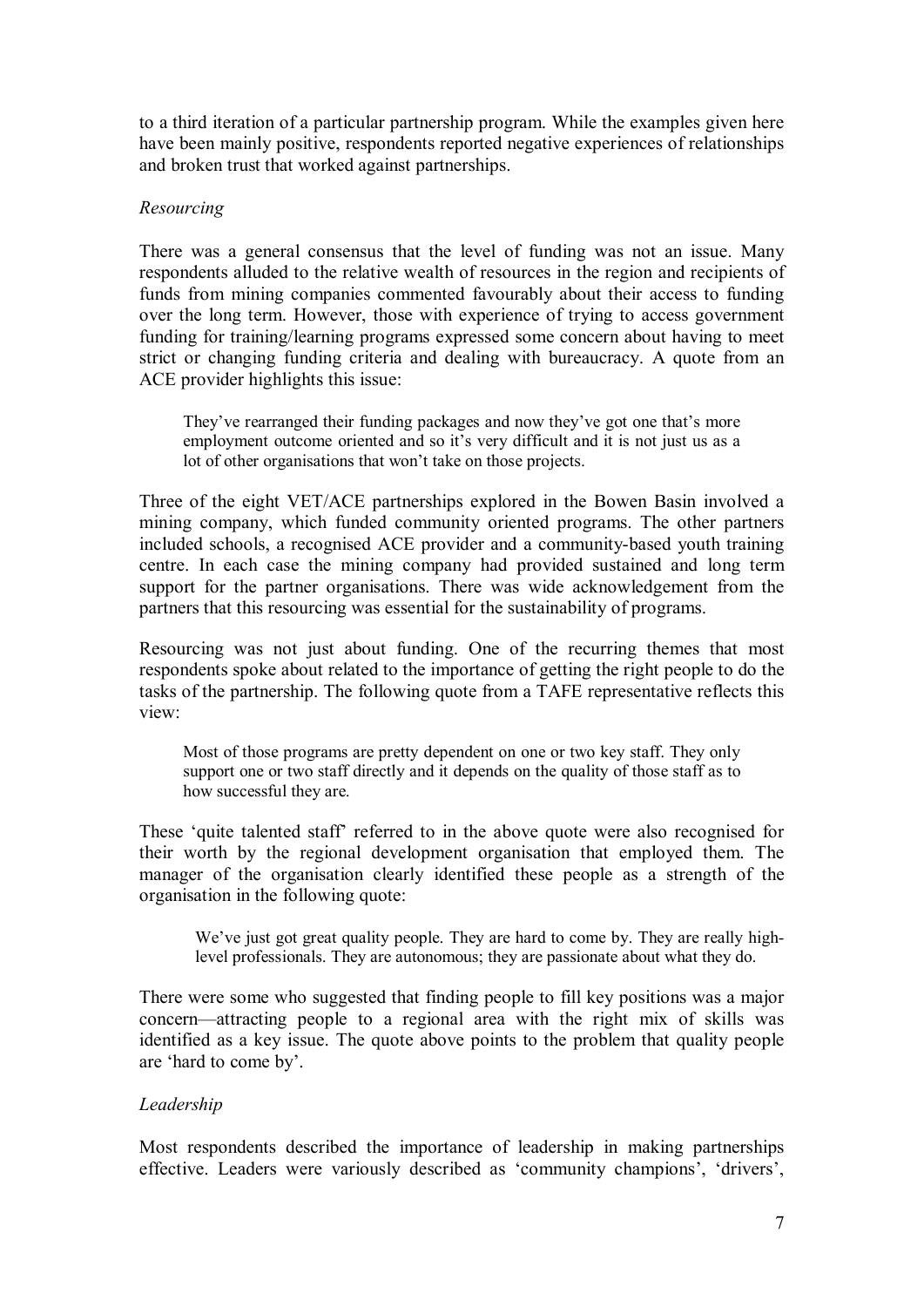to a third iteration of a particular partnership program. While the examples given here have been mainly positive, respondents reported negative experiences of relationships and broken trust that worked against partnerships.

### *Resourcing*

There was a general consensus that the level of funding was not an issue. Many respondents alluded to the relative wealth of resources in the region and recipients of funds from mining companies commented favourably about their access to funding over the long term. However, those with experience of trying to access government funding for training/learning programs expressed some concern about having to meet strict or changing funding criteria and dealing with bureaucracy. A quote from an ACE provider highlights this issue:

They've rearranged their funding packages and now they've got one that's more employment outcome oriented and so it's very difficult and it is not just us as a lot of other organisations that won't take on those projects.

Three of the eight VET/ACE partnerships explored in the Bowen Basin involved a mining company, which funded community oriented programs. The other partners included schools, a recognised ACE provider and a community-based youth training centre. In each case the mining company had provided sustained and long term support for the partner organisations. There was wide acknowledgement from the partners that this resourcing was essential for the sustainability of programs.

Resourcing was not just about funding. One of the recurring themes that most respondents spoke about related to the importance of getting the right people to do the tasks of the partnership. The following quote from a TAFE representative reflects this view:

Most of those programs are pretty dependent on one or two key staff. They only support one or two staff directly and it depends on the quality of those staff as to how successful they are.

These 'quite talented staff' referred to in the above quote were also recognised for their worth by the regional development organisation that employed them. The manager of the organisation clearly identified these people as a strength of the organisation in the following quote:

We've just got great quality people. They are hard to come by. They are really highlevel professionals. They are autonomous; they are passionate about what they do.

There were some who suggested that finding people to fill key positions was a major concern—attracting people to a regional area with the right mix of skills was identified as a key issue. The quote above points to the problem that quality people are 'hard to come by'.

## *Leadership*

Most respondents described the importance of leadership in making partnerships effective. Leaders were variously described as 'community champions', 'drivers',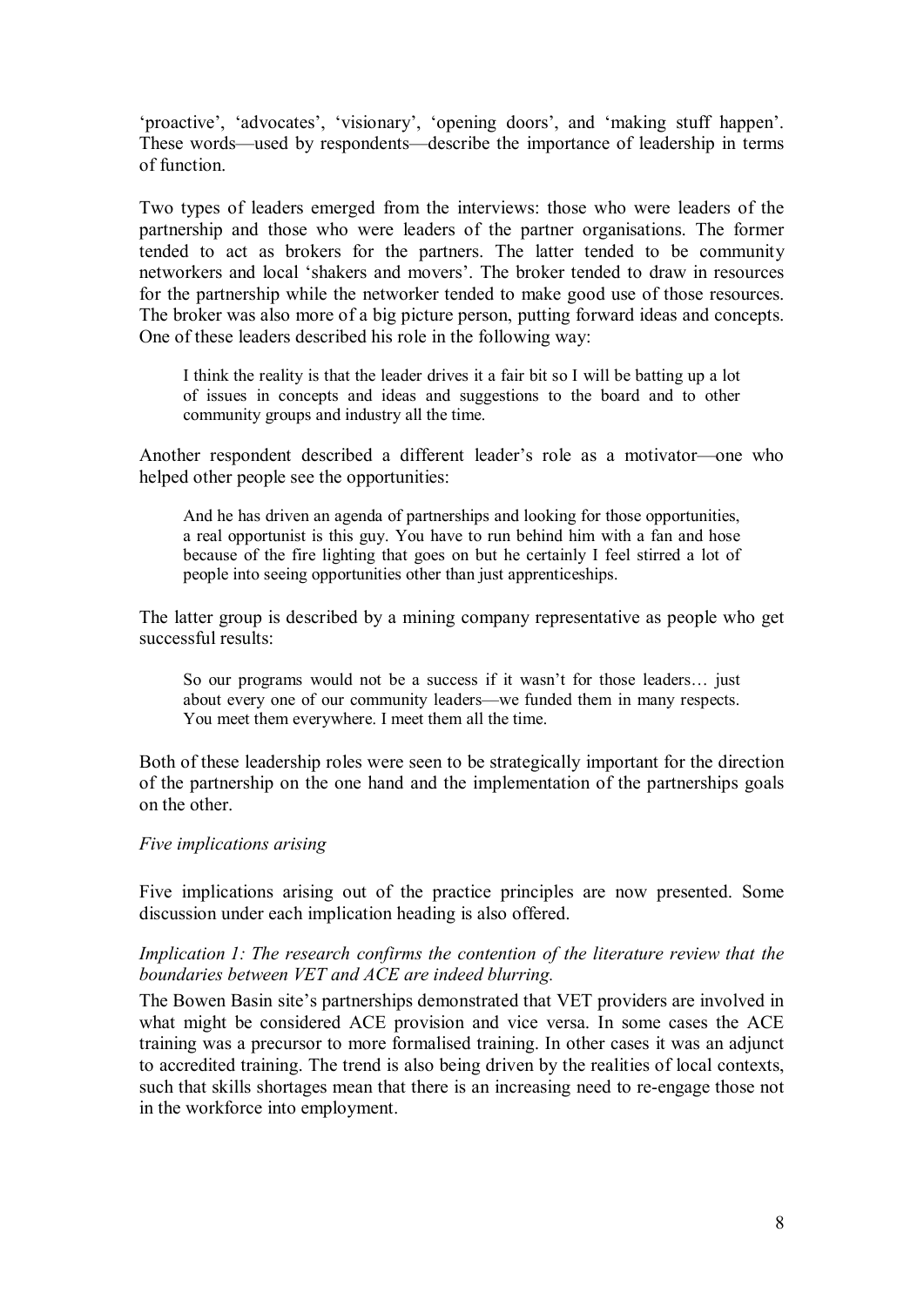'proactive', 'advocates', 'visionary', 'opening doors', and 'making stuff happen'. These words—used by respondents—describe the importance of leadership in terms of function.

Two types of leaders emerged from the interviews: those who were leaders of the partnership and those who were leaders of the partner organisations. The former tended to act as brokers for the partners. The latter tended to be community networkers and local 'shakers and movers'. The broker tended to draw in resources for the partnership while the networker tended to make good use of those resources. The broker was also more of a big picture person, putting forward ideas and concepts. One of these leaders described his role in the following way:

I think the reality is that the leader drives it a fair bit so I will be batting up a lot of issues in concepts and ideas and suggestions to the board and to other community groups and industry all the time.

Another respondent described a different leader's role as a motivator—one who helped other people see the opportunities:

And he has driven an agenda of partnerships and looking for those opportunities, a real opportunist is this guy. You have to run behind him with a fan and hose because of the fire lighting that goes on but he certainly I feel stirred a lot of people into seeing opportunities other than just apprenticeships.

The latter group is described by a mining company representative as people who get successful results:

So our programs would not be a success if it wasn't for those leaders... just about every one of our community leaders—we funded them in many respects. You meet them everywhere. I meet them all the time.

Both of these leadership roles were seen to be strategically important for the direction of the partnership on the one hand and the implementation of the partnerships goals on the other.

#### *Five implications arising*

Five implications arising out of the practice principles are now presented. Some discussion under each implication heading is also offered.

#### *Implication 1: The research confirms the contention of the literature review that the boundaries between VET and ACE are indeed blurring.*

The Bowen Basin site's partnerships demonstrated that VET providers are involved in what might be considered ACE provision and vice versa. In some cases the ACE training was a precursor to more formalised training. In other cases it was an adjunct to accredited training. The trend is also being driven by the realities of local contexts, such that skills shortages mean that there is an increasing need to re-engage those not in the workforce into employment.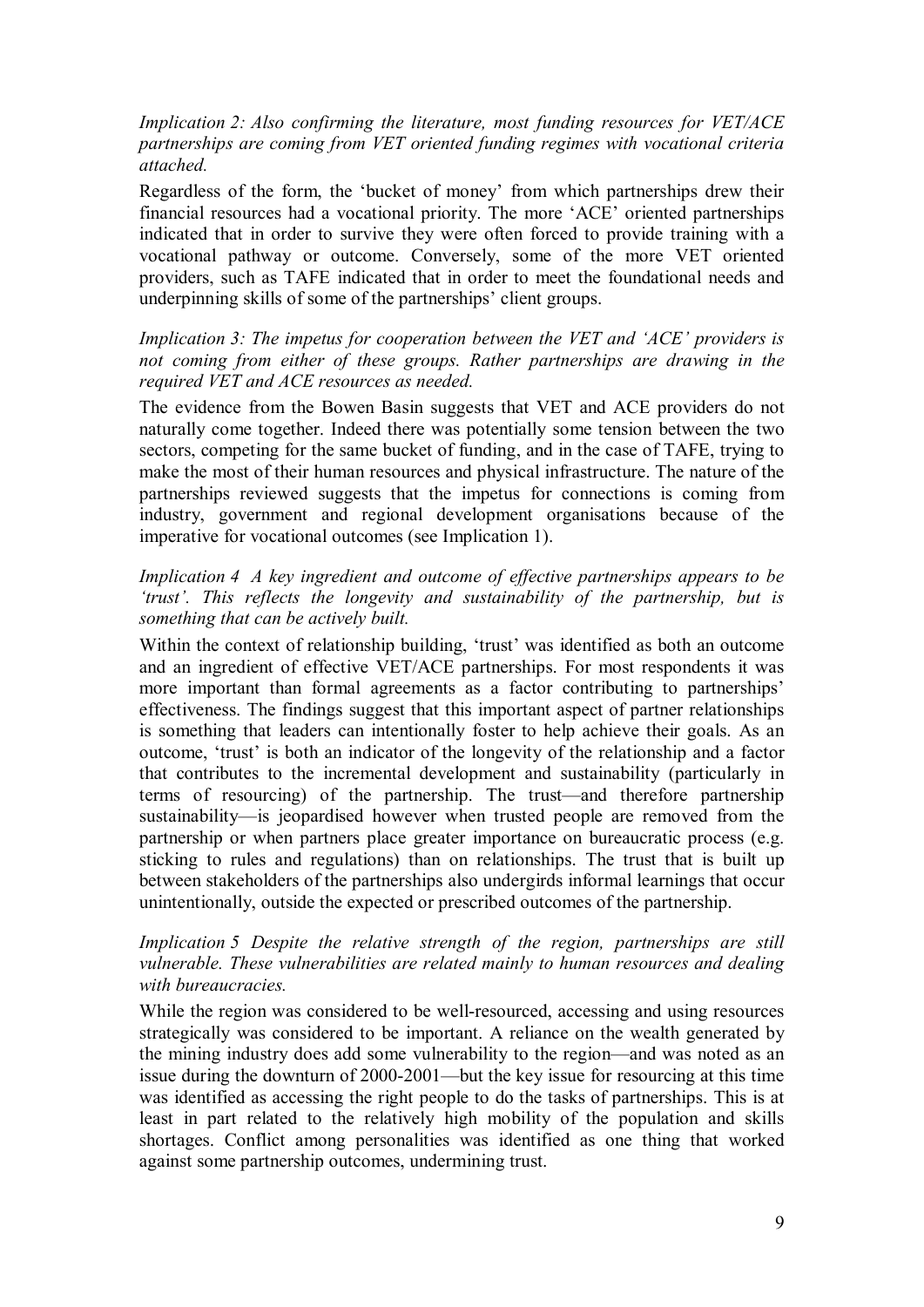*Implication 2: Also confirming the literature, most funding resources for VET/ACE partnerships are coming from VET oriented funding regimes with vocational criteria attached.*

Regardless of the form, the 'bucket of money' from which partnerships drew their financial resources had a vocational priority. The more 'ACE' oriented partnerships indicated that in order to survive they were often forced to provide training with a vocational pathway or outcome. Conversely, some of the more VET oriented providers, such as TAFE indicated that in order to meet the foundational needs and underpinning skills of some of the partnerships' client groups.

*Implication 3: The impetus for cooperation between the VET and 'ACE' providers is not coming from either of these groups. Rather partnerships are drawing in the required VET and ACE resources as needed.*

The evidence from the Bowen Basin suggests that VET and ACE providers do not naturally come together. Indeed there was potentially some tension between the two sectors, competing for the same bucket of funding, and in the case of TAFE, trying to make the most of their human resources and physical infrastructure. The nature of the partnerships reviewed suggests that the impetus for connections is coming from industry, government and regional development organisations because of the imperative for vocational outcomes (see Implication 1).

### *Implication 4 A key ingredient and outcome of effective partnerships appears to be 'trust'. This reflects the longevity and sustainability of the partnership, but is something that can be actively built.*

Within the context of relationship building, 'trust' was identified as both an outcome and an ingredient of effective VET/ACE partnerships. For most respondents it was more important than formal agreements as a factor contributing to partnerships' effectiveness. The findings suggest that this important aspect of partner relationships is something that leaders can intentionally foster to help achieve their goals. As an outcome, 'trust' is both an indicator of the longevity of the relationship and a factor that contributes to the incremental development and sustainability (particularly in terms of resourcing) of the partnership. The trust—and therefore partnership sustainability—is jeopardised however when trusted people are removed from the partnership or when partners place greater importance on bureaucratic process (e.g. sticking to rules and regulations) than on relationships. The trust that is built up between stakeholders of the partnerships also undergirds informal learnings that occur unintentionally, outside the expected or prescribed outcomes of the partnership.

### *Implication 5 Despite the relative strength of the region, partnerships are still vulnerable. These vulnerabilities are related mainly to human resources and dealing with bureaucracies.*

While the region was considered to be well-resourced, accessing and using resources strategically was considered to be important. A reliance on the wealth generated by the mining industry does add some vulnerability to the region—and was noted as an issue during the downturn of 2000-2001—but the key issue for resourcing at this time was identified as accessing the right people to do the tasks of partnerships. This is at least in part related to the relatively high mobility of the population and skills shortages. Conflict among personalities was identified as one thing that worked against some partnership outcomes, undermining trust.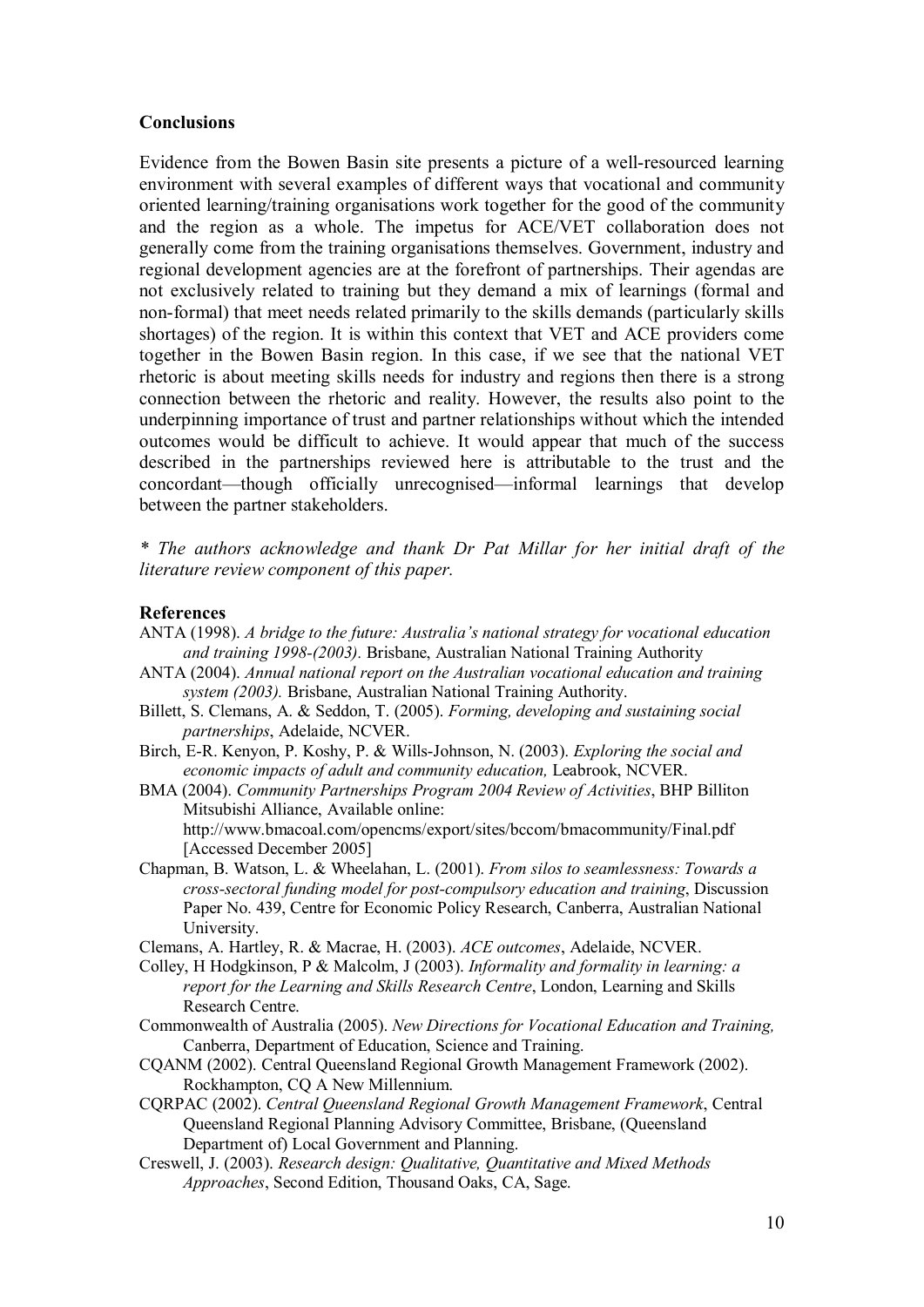#### **Conclusions**

Evidence from the Bowen Basin site presents a picture of a well-resourced learning environment with several examples of different ways that vocational and community oriented learning/training organisations work together for the good of the community and the region as a whole. The impetus for ACE/VET collaboration does not generally come from the training organisations themselves. Government, industry and regional development agencies are at the forefront of partnerships. Their agendas are not exclusively related to training but they demand a mix of learnings (formal and non-formal) that meet needs related primarily to the skills demands (particularly skills shortages) of the region. It is within this context that VET and ACE providers come together in the Bowen Basin region. In this case, if we see that the national VET rhetoric is about meeting skills needs for industry and regions then there is a strong connection between the rhetoric and reality. However, the results also point to the underpinning importance of trust and partner relationships without which the intended outcomes would be difficult to achieve. It would appear that much of the success described in the partnerships reviewed here is attributable to the trust and the concordant—though officially unrecognised—informal learnings that develop between the partner stakeholders.

*\* The authors acknowledge and thank Dr Pat Millar for her initial draft of the literature review component of this paper.*

#### **References**

- ANTA (1998). *A bridge to the future: Australia's national strategy for vocational education and training 1998-(2003).* Brisbane, Australian National Training Authority
- ANTA (2004). *Annual national report on the Australian vocational education and training system (2003).* Brisbane, Australian National Training Authority.
- Billett, S. Clemans, A. & Seddon, T. (2005). *Forming, developing and sustaining social partnerships*, Adelaide, NCVER.
- Birch, E-R. Kenyon, P. Koshy, P. & Wills-Johnson, N. (2003). *Exploring the social and economic impacts of adult and community education,* Leabrook, NCVER.
- BMA (2004). *Community Partnerships Program 2004 Review of Activities*, BHP Billiton Mitsubishi Alliance, Available online: <http://www.bmacoal.com/opencms/export/sites/bccom/bmacommunity/Final.pdf> [Accessed December 2005]
- Chapman, B. Watson, L. & Wheelahan, L. (2001). *From silos to seamlessness: Towards a crosssectoral funding model for postcompulsory education and training*, Discussion Paper No. 439, Centre for Economic Policy Research, Canberra, Australian National University.
- Clemans, A. Hartley, R. & Macrae, H. (2003). *ACE outcomes*, Adelaide, NCVER.
- Colley, H Hodgkinson, P & Malcolm, J (2003). *Informality and formality in learning: a report for the Learning and Skills Research Centre*, London, Learning and Skills Research Centre.
- Commonwealth of Australia (2005). *New Directions for Vocational Education and Training,* Canberra, Department of Education, Science and Training.
- CQANM (2002). Central Queensland Regional Growth Management Framework (2002). Rockhampton, CQ A New Millennium.
- CQRPAC (2002). *Central Queensland Regional Growth Management Framework*, Central Queensland Regional Planning Advisory Committee, Brisbane, (Queensland Department of) Local Government and Planning.
- Creswell, J. (2003). *Research design: Qualitative, Quantitative and Mixed Methods Approaches*, Second Edition, Thousand Oaks, CA, Sage.